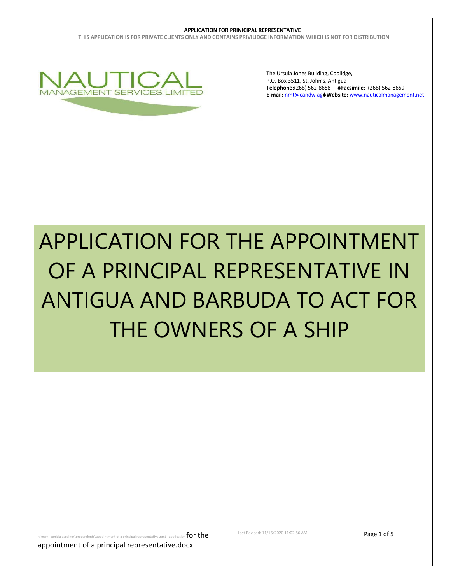**THIS APPLICATION IS FOR PRIVATE CLIENTS ONLY AND CONTAINS PRIVILIDGE INFORMATION WHICH IS NOT FOR DISTRIBUTION**



The Ursula Jones Building, Coolidge, P.O. Box 3511, St. John's, Antigua **Telephone:**(268) 562-8658 **Facsimile**: (268) 562-8659 **E-mail:** [nmt@candw.ag](mailto:nmt@candw.ag)**Website:** www.nauticalmanagement.net

# APPLICATION FOR THE APPOINTMENT OF A PRINCIPAL REPRESENTATIVE IN ANTIGUA AND BARBUDA TO ACT FOR THE OWNERS OF A SHIP

ndents\appointment of a principal representative\nmt - application  $\mathop{\hbox{for the}}$ 

Last Revised: 11/16/2020 11:02:56 AM **Page 1 of 5** 

appointment of a principal representative.docx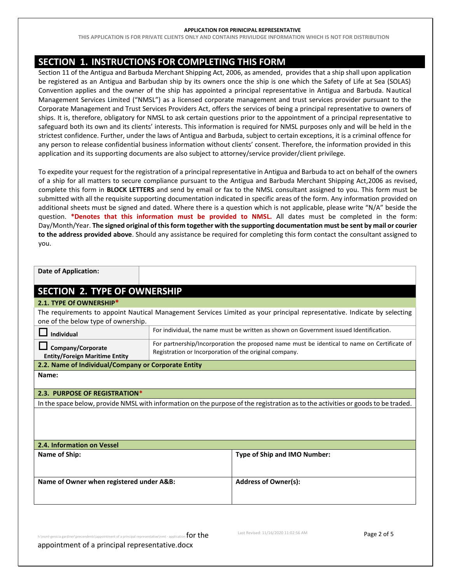**THIS APPLICATION IS FOR PRIVATE CLIENTS ONLY AND CONTAINS PRIVILIDGE INFORMATION WHICH IS NOT FOR DISTRIBUTION**

# **SECTION 1. INSTRUCTIONS FOR COMPLETING THIS FORM**

Section 11 of the Antigua and Barbuda Merchant Shipping Act, 2006, as amended, provides that a ship shall upon application be registered as an Antigua and Barbudan ship by its owners once the ship is one which the Safety of Life at Sea (SOLAS) Convention applies and the owner of the ship has appointed a principal representative in Antigua and Barbuda. Nautical Management Services Limited ("NMSL") as a licensed corporate management and trust services provider pursuant to the Corporate Management and Trust Services Providers Act, offers the services of being a principal representative to owners of ships. It is, therefore, obligatory for NMSL to ask certain questions prior to the appointment of a principal representative to safeguard both its own and its clients' interests. This information is required for NMSL purposes only and will be held in the strictest confidence. Further, under the laws of Antigua and Barbuda, subject to certain exceptions, it is a criminal offence for any person to release confidential business information without clients' consent. Therefore, the information provided in this application and its supporting documents are also subject to attorney/service provider/client privilege.

To expedite your request for the registration of a principal representative in Antigua and Barbuda to act on behalf of the owners of a ship for all matters to secure compliance pursuant to the Antigua and Barbuda Merchant Shipping Act,2006 as revised, complete this form in **BLOCK LETTERS** and send by email or fax to the NMSL consultant assigned to you. This form must be submitted with all the requisite supporting documentation indicated in specific areas of the form. Any information provided on additional sheets must be signed and dated. Where there is a question which is not applicable, please write "N/A" beside the question. **\*Denotes that this information must be provided to NMSL.** All dates must be completed in the form: Day/Month/Year. **The signed original of this form together with the supporting documentation must be sent by mail or courier to the address provided above**. Should any assistance be required for completing this form contact the consultant assigned to you.

| <b>Date of Application:</b>                                                                                              |                                                                                                                                                       |  |  |  |  |  |
|--------------------------------------------------------------------------------------------------------------------------|-------------------------------------------------------------------------------------------------------------------------------------------------------|--|--|--|--|--|
| <b>SECTION 2. TYPE OF OWNERSHIP</b>                                                                                      |                                                                                                                                                       |  |  |  |  |  |
| 2.1. TYPE Of OWNERSHIP*                                                                                                  |                                                                                                                                                       |  |  |  |  |  |
| The requirements to appoint Nautical Management Services Limited as your principal representative. Indicate by selecting |                                                                                                                                                       |  |  |  |  |  |
| one of the below type of ownership.                                                                                      |                                                                                                                                                       |  |  |  |  |  |
| Individual                                                                                                               | For individual, the name must be written as shown on Government issued Identification.                                                                |  |  |  |  |  |
| Company/Corporate<br><b>Entity/Foreign Maritime Entity</b>                                                               | For partnership/Incorporation the proposed name must be identical to name on Certificate of<br>Registration or Incorporation of the original company. |  |  |  |  |  |
| 2.2. Name of Individual/Company or Corporate Entity                                                                      |                                                                                                                                                       |  |  |  |  |  |
| Name:                                                                                                                    |                                                                                                                                                       |  |  |  |  |  |
|                                                                                                                          |                                                                                                                                                       |  |  |  |  |  |
| 2.3. PURPOSE OF REGISTRATION*                                                                                            |                                                                                                                                                       |  |  |  |  |  |
|                                                                                                                          | In the space below, provide NMSL with information on the purpose of the registration as to the activities or goods to be traded.                      |  |  |  |  |  |
|                                                                                                                          |                                                                                                                                                       |  |  |  |  |  |
|                                                                                                                          |                                                                                                                                                       |  |  |  |  |  |
| 2.4. Information on Vessel                                                                                               |                                                                                                                                                       |  |  |  |  |  |
| Name of Ship:                                                                                                            | Type of Ship and IMO Number:                                                                                                                          |  |  |  |  |  |
|                                                                                                                          |                                                                                                                                                       |  |  |  |  |  |
| Name of Owner when registered under A&B:                                                                                 | <b>Address of Owner(s):</b>                                                                                                                           |  |  |  |  |  |
|                                                                                                                          |                                                                                                                                                       |  |  |  |  |  |

ment of a principal representative\nmt - application  $\mathop{\text{for the}}$ 

Last Revised: 11/16/2020 11:02:56 AM **Page 2 of 5** 

appointment of a principal representative.docx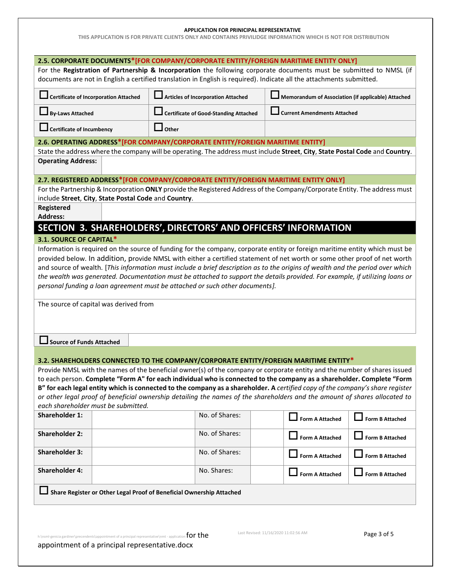**THIS APPLICATION IS FOR PRIVATE CLIENTS ONLY AND CONTAINS PRIVILIDGE INFORMATION WHICH IS NOT FOR DISTRIBUTION**

| 2.5. CORPORATE DOCUMENTS*[FOR COMPANY/CORPORATE ENTITY/FOREIGN MARITIME ENTITY ONLY]<br>For the Registration of Partnership & Incorporation the following corporate documents must be submitted to NMSL (if<br>documents are not in English a certified translation in English is required). Indicate all the attachments submitted. |                                                                               |                                                                                                                                                                                                              |                                                    |                        |  |  |  |
|--------------------------------------------------------------------------------------------------------------------------------------------------------------------------------------------------------------------------------------------------------------------------------------------------------------------------------------|-------------------------------------------------------------------------------|--------------------------------------------------------------------------------------------------------------------------------------------------------------------------------------------------------------|----------------------------------------------------|------------------------|--|--|--|
|                                                                                                                                                                                                                                                                                                                                      | <b>Certificate of Incorporation Attached</b>                                  | <b>Articles of Incorporation Attached</b>                                                                                                                                                                    | Memorandum of Association (if applicable) Attached |                        |  |  |  |
| <b>By-Laws Attached</b>                                                                                                                                                                                                                                                                                                              |                                                                               | <b>Certificate of Good-Standing Attached</b>                                                                                                                                                                 | <b>Current Amendments Attached</b>                 |                        |  |  |  |
| <b>Certificate of Incumbency</b>                                                                                                                                                                                                                                                                                                     |                                                                               | Other                                                                                                                                                                                                        |                                                    |                        |  |  |  |
|                                                                                                                                                                                                                                                                                                                                      | 2.6. OPERATING ADDRESS*[FOR COMPANY/CORPORATE ENTITY/FOREIGN MARITIME ENTITY] |                                                                                                                                                                                                              |                                                    |                        |  |  |  |
| State the address where the company will be operating. The address must include Street, City, State Postal Code and Country.<br><b>Operating Address:</b>                                                                                                                                                                            |                                                                               |                                                                                                                                                                                                              |                                                    |                        |  |  |  |
|                                                                                                                                                                                                                                                                                                                                      |                                                                               | 2.7. REGISTERED ADDRESS*[FOR COMPANY/CORPORATE ENTITY/FOREIGN MARITIME ENTITY ONLY]                                                                                                                          |                                                    |                        |  |  |  |
|                                                                                                                                                                                                                                                                                                                                      |                                                                               | For the Partnership & Incorporation ONLY provide the Registered Address of the Company/Corporate Entity. The address must                                                                                    |                                                    |                        |  |  |  |
| Registered                                                                                                                                                                                                                                                                                                                           | include Street, City, State Postal Code and Country.                          |                                                                                                                                                                                                              |                                                    |                        |  |  |  |
| <b>Address:</b>                                                                                                                                                                                                                                                                                                                      |                                                                               |                                                                                                                                                                                                              |                                                    |                        |  |  |  |
|                                                                                                                                                                                                                                                                                                                                      |                                                                               | SECTION 3. SHAREHOLDERS', DIRECTORS' AND OFFICERS' INFORMATION                                                                                                                                               |                                                    |                        |  |  |  |
| 3.1. SOURCE OF CAPITAL*                                                                                                                                                                                                                                                                                                              |                                                                               |                                                                                                                                                                                                              |                                                    |                        |  |  |  |
|                                                                                                                                                                                                                                                                                                                                      |                                                                               | Information is required on the source of funding for the company, corporate entity or foreign maritime entity which must be                                                                                  |                                                    |                        |  |  |  |
|                                                                                                                                                                                                                                                                                                                                      |                                                                               | provided below. In addition, provide NMSL with either a certified statement of net worth or some other proof of net worth                                                                                    |                                                    |                        |  |  |  |
|                                                                                                                                                                                                                                                                                                                                      |                                                                               | and source of wealth. [This information must include a brief description as to the origins of wealth and the period over which                                                                               |                                                    |                        |  |  |  |
|                                                                                                                                                                                                                                                                                                                                      |                                                                               | the wealth was generated. Documentation must be attached to support the details provided. For example, if utilizing loans or<br>personal funding a loan agreement must be attached or such other documents]. |                                                    |                        |  |  |  |
|                                                                                                                                                                                                                                                                                                                                      |                                                                               |                                                                                                                                                                                                              |                                                    |                        |  |  |  |
| The source of capital was derived from                                                                                                                                                                                                                                                                                               |                                                                               |                                                                                                                                                                                                              |                                                    |                        |  |  |  |
| <b>Source of Funds Attached</b>                                                                                                                                                                                                                                                                                                      |                                                                               |                                                                                                                                                                                                              |                                                    |                        |  |  |  |
|                                                                                                                                                                                                                                                                                                                                      |                                                                               | 3.2. SHAREHOLDERS CONNECTED TO THE COMPANY/CORPORATE ENTITY/FOREIGN MARITIME ENTITY*                                                                                                                         |                                                    |                        |  |  |  |
|                                                                                                                                                                                                                                                                                                                                      |                                                                               | Provide NMSL with the names of the beneficial owner(s) of the company or corporate entity and the number of shares issued                                                                                    |                                                    |                        |  |  |  |
|                                                                                                                                                                                                                                                                                                                                      |                                                                               | to each person. Complete "Form A" for each individual who is connected to the company as a shareholder. Complete "Form                                                                                       |                                                    |                        |  |  |  |
|                                                                                                                                                                                                                                                                                                                                      |                                                                               | B" for each legal entity which is connected to the company as a shareholder. A certified copy of the company's share register                                                                                |                                                    |                        |  |  |  |
|                                                                                                                                                                                                                                                                                                                                      | each shareholder must be submitted.                                           | or other legal proof of beneficial ownership detailing the names of the shareholders and the amount of shares allocated to                                                                                   |                                                    |                        |  |  |  |
| <b>Shareholder 1:</b>                                                                                                                                                                                                                                                                                                                |                                                                               | No. of Shares:                                                                                                                                                                                               | <b>Form A Attached</b>                             | <b>Form B Attached</b> |  |  |  |
|                                                                                                                                                                                                                                                                                                                                      |                                                                               |                                                                                                                                                                                                              |                                                    |                        |  |  |  |
| <b>Shareholder 2:</b>                                                                                                                                                                                                                                                                                                                |                                                                               | No. of Shares:                                                                                                                                                                                               | <b>Form A Attached</b>                             | <b>Form B Attached</b> |  |  |  |
| <b>Shareholder 3:</b>                                                                                                                                                                                                                                                                                                                |                                                                               | No. of Shares:                                                                                                                                                                                               | <b>Form A Attached</b>                             | <b>Form B Attached</b> |  |  |  |
| <b>Shareholder 4:</b>                                                                                                                                                                                                                                                                                                                |                                                                               | No. Shares:                                                                                                                                                                                                  | <b>Form A Attached</b>                             | <b>Form B Attached</b> |  |  |  |
| Share Register or Other Legal Proof of Beneficial Ownership Attached                                                                                                                                                                                                                                                                 |                                                                               |                                                                                                                                                                                                              |                                                    |                        |  |  |  |
| appointment of a principal representative.docx                                                                                                                                                                                                                                                                                       |                                                                               | h:\nsml-genicia gardiner\precendents\appointment of a principal representative\nmt - application $\text{for the}$                                                                                            | Last Revised: 11/16/2020 11:02:56 AM               | Page 3 of 5            |  |  |  |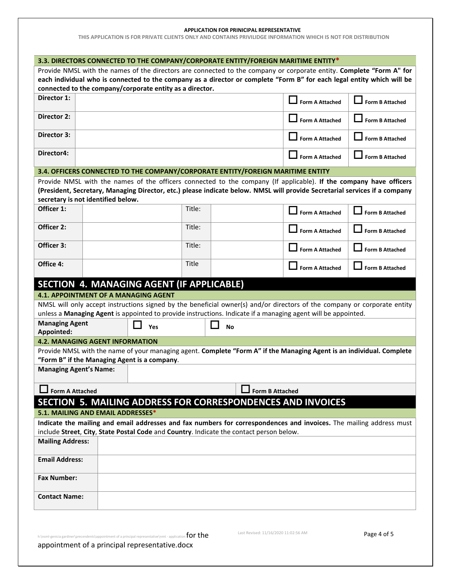**THIS APPLICATION IS FOR PRIVATE CLIENTS ONLY AND CONTAINS PRIVILIDGE INFORMATION WHICH IS NOT FOR DISTRIBUTION**

|                                                                                                                        | 3.3. DIRECTORS CONNECTED TO THE COMPANY/CORPORATE ENTITY/FOREIGN MARITIME ENTITY* |                                                                                                                                                                     |        |                                                                                                                            |                        |                        |  |  |  |
|------------------------------------------------------------------------------------------------------------------------|-----------------------------------------------------------------------------------|---------------------------------------------------------------------------------------------------------------------------------------------------------------------|--------|----------------------------------------------------------------------------------------------------------------------------|------------------------|------------------------|--|--|--|
| Provide NMSL with the names of the directors are connected to the company or corporate entity. Complete "Form A" for   |                                                                                   |                                                                                                                                                                     |        |                                                                                                                            |                        |                        |  |  |  |
| each individual who is connected to the company as a director or complete "Form B" for each legal entity which will be |                                                                                   |                                                                                                                                                                     |        |                                                                                                                            |                        |                        |  |  |  |
| connected to the company/corporate entity as a director.                                                               |                                                                                   |                                                                                                                                                                     |        |                                                                                                                            |                        |                        |  |  |  |
| Director 1:                                                                                                            |                                                                                   |                                                                                                                                                                     |        |                                                                                                                            | <b>Form A Attached</b> | <b>Form B Attached</b> |  |  |  |
| <b>Director 2:</b>                                                                                                     |                                                                                   |                                                                                                                                                                     |        |                                                                                                                            | <b>Form A Attached</b> | <b>Form B Attached</b> |  |  |  |
| Director 3:                                                                                                            |                                                                                   |                                                                                                                                                                     |        |                                                                                                                            | $\Box$ Form A Attached | <b>Form B Attached</b> |  |  |  |
| Director4:                                                                                                             |                                                                                   |                                                                                                                                                                     |        |                                                                                                                            | <b>Form A Attached</b> | <b>Form B Attached</b> |  |  |  |
|                                                                                                                        |                                                                                   |                                                                                                                                                                     |        | 3.4. OFFICERS CONNECTED TO THE COMPANY/CORPORATE ENTITY/FOREIGN MARITIME ENTITY                                            |                        |                        |  |  |  |
|                                                                                                                        |                                                                                   |                                                                                                                                                                     |        | Provide NMSL with the names of the officers connected to the company (If applicable). If the company have officers         |                        |                        |  |  |  |
|                                                                                                                        |                                                                                   |                                                                                                                                                                     |        | (President, Secretary, Managing Director, etc.) please indicate below. NMSL will provide Secretarial services if a company |                        |                        |  |  |  |
|                                                                                                                        | secretary is not identified below.                                                |                                                                                                                                                                     |        |                                                                                                                            |                        |                        |  |  |  |
| Officer 1:                                                                                                             |                                                                                   |                                                                                                                                                                     | Title: |                                                                                                                            | <b>Form A Attached</b> | <b>Form B Attached</b> |  |  |  |
| Officer 2:                                                                                                             |                                                                                   |                                                                                                                                                                     | Title: |                                                                                                                            | <b>Form A Attached</b> | <b>Form B Attached</b> |  |  |  |
| Officer 3:                                                                                                             |                                                                                   |                                                                                                                                                                     | Title: |                                                                                                                            | <b>Form A Attached</b> | <b>Form B Attached</b> |  |  |  |
| Office 4:                                                                                                              |                                                                                   |                                                                                                                                                                     | Title  |                                                                                                                            | <b>Form A Attached</b> | <b>Form B Attached</b> |  |  |  |
|                                                                                                                        |                                                                                   | SECTION 4. MANAGING AGENT (IF APPLICABLE)                                                                                                                           |        |                                                                                                                            |                        |                        |  |  |  |
|                                                                                                                        | 4.1. APPOINTMENT OF A MANAGING AGENT                                              |                                                                                                                                                                     |        |                                                                                                                            |                        |                        |  |  |  |
|                                                                                                                        |                                                                                   |                                                                                                                                                                     |        | NMSL will only accept instructions signed by the beneficial owner(s) and/or directors of the company or corporate entity   |                        |                        |  |  |  |
|                                                                                                                        |                                                                                   |                                                                                                                                                                     |        | unless a Managing Agent is appointed to provide instructions. Indicate if a managing agent will be appointed.              |                        |                        |  |  |  |
| <b>Managing Agent</b><br>Appointed:                                                                                    |                                                                                   | Yes                                                                                                                                                                 |        | <b>No</b>                                                                                                                  |                        |                        |  |  |  |
|                                                                                                                        | <b>4.2. MANAGING AGENT INFORMATION</b>                                            |                                                                                                                                                                     |        |                                                                                                                            |                        |                        |  |  |  |
|                                                                                                                        |                                                                                   |                                                                                                                                                                     |        | Provide NMSL with the name of your managing agent. Complete "Form A" if the Managing Agent is an individual. Complete      |                        |                        |  |  |  |
|                                                                                                                        |                                                                                   | "Form B" if the Managing Agent is a company.                                                                                                                        |        |                                                                                                                            |                        |                        |  |  |  |
|                                                                                                                        | <b>Managing Agent's Name:</b>                                                     |                                                                                                                                                                     |        |                                                                                                                            |                        |                        |  |  |  |
| <b>Form A Attached</b>                                                                                                 |                                                                                   |                                                                                                                                                                     |        | <b>Form B Attached</b>                                                                                                     |                        |                        |  |  |  |
|                                                                                                                        |                                                                                   |                                                                                                                                                                     |        | SECTION 5. MAILING ADDRESS FOR CORRESPONDENCES AND INVOICES                                                                |                        |                        |  |  |  |
|                                                                                                                        | 5.1. MAILING AND EMAIL ADDRESSES*                                                 |                                                                                                                                                                     |        |                                                                                                                            |                        |                        |  |  |  |
|                                                                                                                        |                                                                                   |                                                                                                                                                                     |        | Indicate the mailing and email addresses and fax numbers for correspondences and invoices. The mailing address must        |                        |                        |  |  |  |
|                                                                                                                        |                                                                                   |                                                                                                                                                                     |        | include Street, City, State Postal Code and Country. Indicate the contact person below.                                    |                        |                        |  |  |  |
| <b>Mailing Address:</b>                                                                                                |                                                                                   |                                                                                                                                                                     |        |                                                                                                                            |                        |                        |  |  |  |
| <b>Email Address:</b>                                                                                                  |                                                                                   |                                                                                                                                                                     |        |                                                                                                                            |                        |                        |  |  |  |
| <b>Fax Number:</b>                                                                                                     |                                                                                   |                                                                                                                                                                     |        |                                                                                                                            |                        |                        |  |  |  |
| <b>Contact Name:</b>                                                                                                   |                                                                                   |                                                                                                                                                                     |        |                                                                                                                            |                        |                        |  |  |  |
|                                                                                                                        |                                                                                   |                                                                                                                                                                     |        |                                                                                                                            |                        |                        |  |  |  |
|                                                                                                                        |                                                                                   |                                                                                                                                                                     |        | Last Revised: 11/16/2020 11:02:56 AM                                                                                       |                        |                        |  |  |  |
|                                                                                                                        |                                                                                   | h:\nsml-genicia gardiner\precendents\appointment of a principal representative\nmt - application $\text{for the}$<br>appointment of a principal representative.docx |        |                                                                                                                            |                        | Page 4 of 5            |  |  |  |